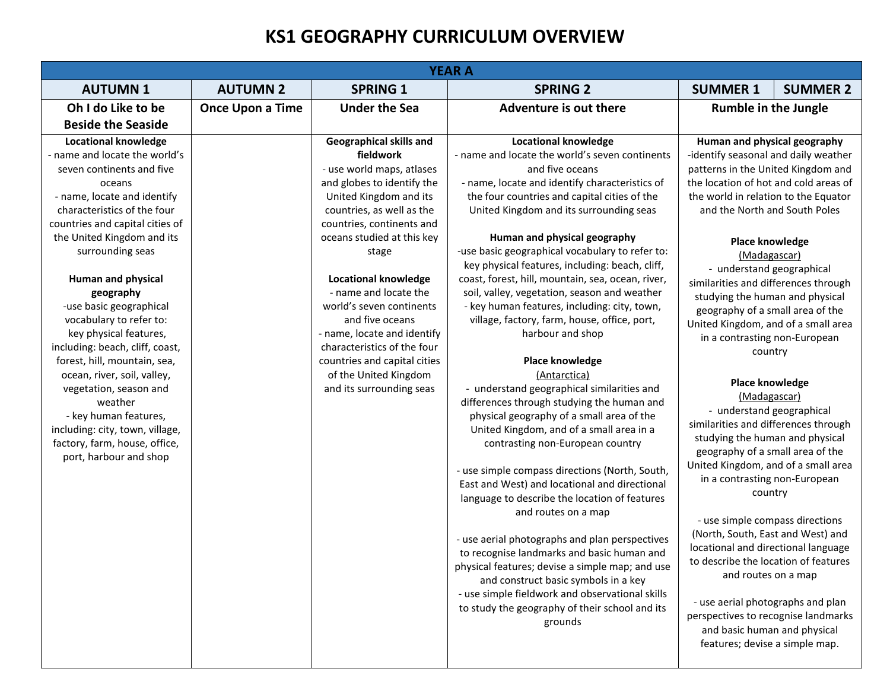## **KS1 GEOGRAPHY CURRICULUM OVERVIEW**

| <b>YEAR A</b>                                                                                                                                                                                                                                                                                                                                                                                                                                                                                                                                                                                                                                  |                         |                                                                                                                                                                                                                                                                                                                                                                                                                                                                                      |                                                                                                                                                                                                                                                                                                                                                                                                                                                                                                                                                                                                                                                                                                                                                                                                                                                                                                                                                                                                                                                                                                                                                                                                                                                                                                                                                                       |                                                                                                                                                                                                                                                                                                                                                                                                                                                                                                                                                                                                                                                                                                                                                                                                                                                                                                                                                                                                                                                                                                            |  |  |
|------------------------------------------------------------------------------------------------------------------------------------------------------------------------------------------------------------------------------------------------------------------------------------------------------------------------------------------------------------------------------------------------------------------------------------------------------------------------------------------------------------------------------------------------------------------------------------------------------------------------------------------------|-------------------------|--------------------------------------------------------------------------------------------------------------------------------------------------------------------------------------------------------------------------------------------------------------------------------------------------------------------------------------------------------------------------------------------------------------------------------------------------------------------------------------|-----------------------------------------------------------------------------------------------------------------------------------------------------------------------------------------------------------------------------------------------------------------------------------------------------------------------------------------------------------------------------------------------------------------------------------------------------------------------------------------------------------------------------------------------------------------------------------------------------------------------------------------------------------------------------------------------------------------------------------------------------------------------------------------------------------------------------------------------------------------------------------------------------------------------------------------------------------------------------------------------------------------------------------------------------------------------------------------------------------------------------------------------------------------------------------------------------------------------------------------------------------------------------------------------------------------------------------------------------------------------|------------------------------------------------------------------------------------------------------------------------------------------------------------------------------------------------------------------------------------------------------------------------------------------------------------------------------------------------------------------------------------------------------------------------------------------------------------------------------------------------------------------------------------------------------------------------------------------------------------------------------------------------------------------------------------------------------------------------------------------------------------------------------------------------------------------------------------------------------------------------------------------------------------------------------------------------------------------------------------------------------------------------------------------------------------------------------------------------------------|--|--|
| <b>AUTUMN1</b>                                                                                                                                                                                                                                                                                                                                                                                                                                                                                                                                                                                                                                 | <b>AUTUMN 2</b>         | <b>SPRING 1</b>                                                                                                                                                                                                                                                                                                                                                                                                                                                                      | <b>SPRING 2</b>                                                                                                                                                                                                                                                                                                                                                                                                                                                                                                                                                                                                                                                                                                                                                                                                                                                                                                                                                                                                                                                                                                                                                                                                                                                                                                                                                       | <b>SUMMER 1</b><br><b>SUMMER 2</b>                                                                                                                                                                                                                                                                                                                                                                                                                                                                                                                                                                                                                                                                                                                                                                                                                                                                                                                                                                                                                                                                         |  |  |
| Oh I do Like to be                                                                                                                                                                                                                                                                                                                                                                                                                                                                                                                                                                                                                             | <b>Once Upon a Time</b> | <b>Under the Sea</b>                                                                                                                                                                                                                                                                                                                                                                                                                                                                 | Adventure is out there                                                                                                                                                                                                                                                                                                                                                                                                                                                                                                                                                                                                                                                                                                                                                                                                                                                                                                                                                                                                                                                                                                                                                                                                                                                                                                                                                | <b>Rumble in the Jungle</b>                                                                                                                                                                                                                                                                                                                                                                                                                                                                                                                                                                                                                                                                                                                                                                                                                                                                                                                                                                                                                                                                                |  |  |
| <b>Beside the Seaside</b>                                                                                                                                                                                                                                                                                                                                                                                                                                                                                                                                                                                                                      |                         |                                                                                                                                                                                                                                                                                                                                                                                                                                                                                      |                                                                                                                                                                                                                                                                                                                                                                                                                                                                                                                                                                                                                                                                                                                                                                                                                                                                                                                                                                                                                                                                                                                                                                                                                                                                                                                                                                       |                                                                                                                                                                                                                                                                                                                                                                                                                                                                                                                                                                                                                                                                                                                                                                                                                                                                                                                                                                                                                                                                                                            |  |  |
| <b>Locational knowledge</b><br>- name and locate the world's<br>seven continents and five<br>oceans<br>- name, locate and identify<br>characteristics of the four<br>countries and capital cities of<br>the United Kingdom and its<br>surrounding seas<br><b>Human and physical</b><br>geography<br>-use basic geographical<br>vocabulary to refer to:<br>key physical features,<br>including: beach, cliff, coast,<br>forest, hill, mountain, sea,<br>ocean, river, soil, valley,<br>vegetation, season and<br>weather<br>- key human features,<br>including: city, town, village,<br>factory, farm, house, office,<br>port, harbour and shop |                         | Geographical skills and<br>fieldwork<br>- use world maps, atlases<br>and globes to identify the<br>United Kingdom and its<br>countries, as well as the<br>countries, continents and<br>oceans studied at this key<br>stage<br><b>Locational knowledge</b><br>- name and locate the<br>world's seven continents<br>and five oceans<br>- name, locate and identify<br>characteristics of the four<br>countries and capital cities<br>of the United Kingdom<br>and its surrounding seas | <b>Locational knowledge</b><br>- name and locate the world's seven continents<br>and five oceans<br>- name, locate and identify characteristics of<br>the four countries and capital cities of the<br>United Kingdom and its surrounding seas<br>Human and physical geography<br>-use basic geographical vocabulary to refer to:<br>key physical features, including: beach, cliff,<br>coast, forest, hill, mountain, sea, ocean, river,<br>soil, valley, vegetation, season and weather<br>- key human features, including: city, town,<br>village, factory, farm, house, office, port,<br>harbour and shop<br><b>Place knowledge</b><br>(Antarctica)<br>- understand geographical similarities and<br>differences through studying the human and<br>physical geography of a small area of the<br>United Kingdom, and of a small area in a<br>contrasting non-European country<br>- use simple compass directions (North, South,<br>East and West) and locational and directional<br>language to describe the location of features<br>and routes on a map<br>- use aerial photographs and plan perspectives<br>to recognise landmarks and basic human and<br>physical features; devise a simple map; and use<br>and construct basic symbols in a key<br>- use simple fieldwork and observational skills<br>to study the geography of their school and its<br>grounds | Human and physical geography<br>-identify seasonal and daily weather<br>patterns in the United Kingdom and<br>the location of hot and cold areas of<br>the world in relation to the Equator<br>and the North and South Poles<br><b>Place knowledge</b><br>(Madagascar)<br>- understand geographical<br>similarities and differences through<br>studying the human and physical<br>geography of a small area of the<br>United Kingdom, and of a small area<br>in a contrasting non-European<br>country<br><b>Place knowledge</b><br>(Madagascar)<br>- understand geographical<br>similarities and differences through<br>studying the human and physical<br>geography of a small area of the<br>United Kingdom, and of a small area<br>in a contrasting non-European<br>country<br>- use simple compass directions<br>(North, South, East and West) and<br>locational and directional language<br>to describe the location of features<br>and routes on a map<br>- use aerial photographs and plan<br>perspectives to recognise landmarks<br>and basic human and physical<br>features; devise a simple map. |  |  |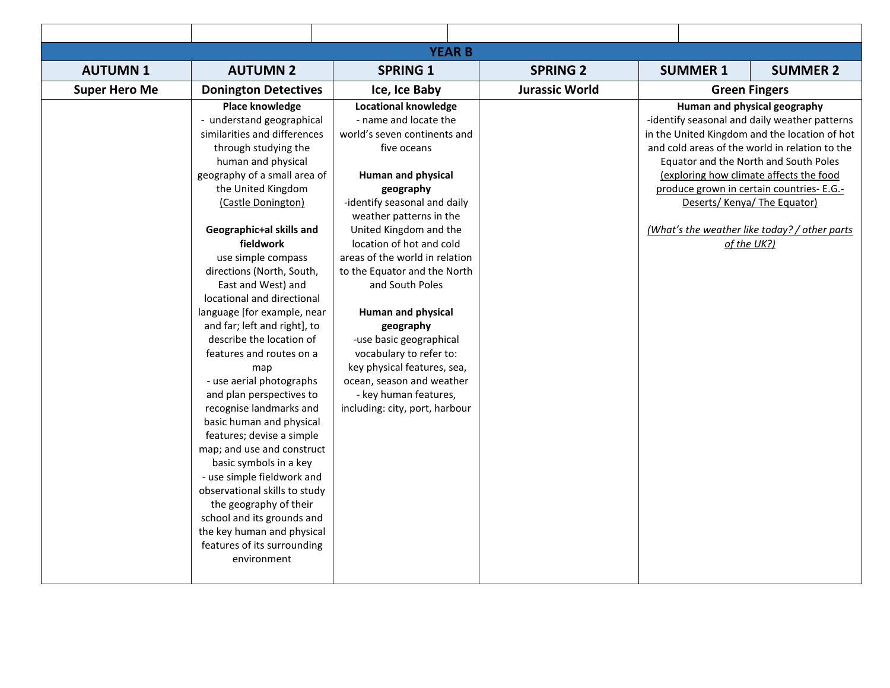| <b>YEAR B</b>        |                                                                                                                                                                                                                                                                                                                                                                                                                                                                                                                                   |                                                                                                                                                                                                                                                                                                                                                     |                       |  |                 |                                                                                                                                                                                                                                                                                                                                                                                                                 |
|----------------------|-----------------------------------------------------------------------------------------------------------------------------------------------------------------------------------------------------------------------------------------------------------------------------------------------------------------------------------------------------------------------------------------------------------------------------------------------------------------------------------------------------------------------------------|-----------------------------------------------------------------------------------------------------------------------------------------------------------------------------------------------------------------------------------------------------------------------------------------------------------------------------------------------------|-----------------------|--|-----------------|-----------------------------------------------------------------------------------------------------------------------------------------------------------------------------------------------------------------------------------------------------------------------------------------------------------------------------------------------------------------------------------------------------------------|
| <b>AUTUMN1</b>       | <b>AUTUMN 2</b>                                                                                                                                                                                                                                                                                                                                                                                                                                                                                                                   | <b>SPRING 1</b>                                                                                                                                                                                                                                                                                                                                     | <b>SPRING 2</b>       |  | <b>SUMMER 1</b> | <b>SUMMER 2</b>                                                                                                                                                                                                                                                                                                                                                                                                 |
| <b>Super Hero Me</b> | <b>Donington Detectives</b>                                                                                                                                                                                                                                                                                                                                                                                                                                                                                                       | Ice, Ice Baby                                                                                                                                                                                                                                                                                                                                       | <b>Jurassic World</b> |  |                 | <b>Green Fingers</b>                                                                                                                                                                                                                                                                                                                                                                                            |
|                      | Place knowledge<br>- understand geographical<br>similarities and differences<br>through studying the<br>human and physical<br>geography of a small area of<br>the United Kingdom<br>(Castle Donington)<br>Geographic+al skills and<br>fieldwork<br>use simple compass<br>directions (North, South,<br>East and West) and<br>locational and directional                                                                                                                                                                            | <b>Locational knowledge</b><br>- name and locate the<br>world's seven continents and<br>five oceans<br><b>Human and physical</b><br>geography<br>-identify seasonal and daily<br>weather patterns in the<br>United Kingdom and the<br>location of hot and cold<br>areas of the world in relation<br>to the Equator and the North<br>and South Poles |                       |  |                 | Human and physical geography<br>-identify seasonal and daily weather patterns<br>in the United Kingdom and the location of hot<br>and cold areas of the world in relation to the<br>Equator and the North and South Poles<br>(exploring how climate affects the food<br>produce grown in certain countries- E.G.-<br>Deserts/Kenya/The Equator)<br>(What's the weather like today? / other parts<br>of the UK?) |
|                      | language [for example, near<br>and far; left and right], to<br>describe the location of<br>features and routes on a<br>map<br>- use aerial photographs<br>and plan perspectives to<br>recognise landmarks and<br>basic human and physical<br>features; devise a simple<br>map; and use and construct<br>basic symbols in a key<br>- use simple fieldwork and<br>observational skills to study<br>the geography of their<br>school and its grounds and<br>the key human and physical<br>features of its surrounding<br>environment | <b>Human and physical</b><br>geography<br>-use basic geographical<br>vocabulary to refer to:<br>key physical features, sea,<br>ocean, season and weather<br>- key human features,<br>including: city, port, harbour                                                                                                                                 |                       |  |                 |                                                                                                                                                                                                                                                                                                                                                                                                                 |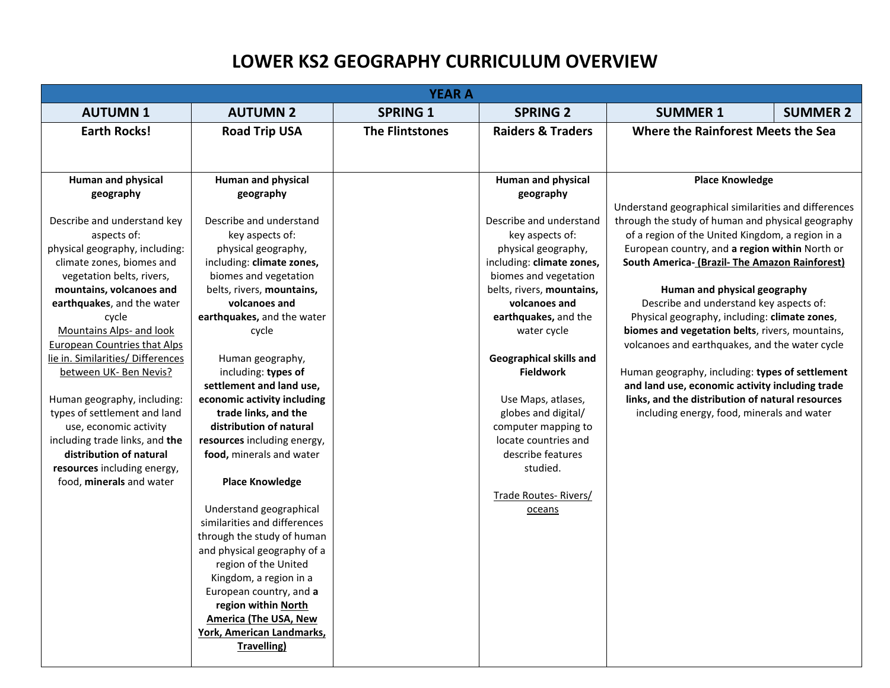## **LOWER KS2 GEOGRAPHY CURRICULUM OVERVIEW**

|                                            |                                                         | <b>YEAR A</b>          |                                |                                                                                                       |                 |
|--------------------------------------------|---------------------------------------------------------|------------------------|--------------------------------|-------------------------------------------------------------------------------------------------------|-----------------|
| <b>AUTUMN1</b>                             | <b>AUTUMN 2</b>                                         | <b>SPRING 1</b>        | <b>SPRING 2</b>                | <b>SUMMER 1</b>                                                                                       | <b>SUMMER 2</b> |
| <b>Earth Rocks!</b>                        | <b>Road Trip USA</b>                                    | <b>The Flintstones</b> | <b>Raiders &amp; Traders</b>   | Where the Rainforest Meets the Sea                                                                    |                 |
|                                            |                                                         |                        |                                |                                                                                                       |                 |
|                                            |                                                         |                        |                                |                                                                                                       |                 |
| <b>Human and physical</b>                  | Human and physical                                      |                        | Human and physical             | <b>Place Knowledge</b>                                                                                |                 |
| geography                                  | geography                                               |                        | geography                      |                                                                                                       |                 |
|                                            | Describe and understand                                 |                        | Describe and understand        | Understand geographical similarities and differences                                                  |                 |
| Describe and understand key<br>aspects of: | key aspects of:                                         |                        | key aspects of:                | through the study of human and physical geography<br>of a region of the United Kingdom, a region in a |                 |
| physical geography, including:             | physical geography,                                     |                        | physical geography,            | European country, and a region within North or                                                        |                 |
| climate zones, biomes and                  | including: climate zones,                               |                        | including: climate zones,      | South America- (Brazil- The Amazon Rainforest)                                                        |                 |
| vegetation belts, rivers,                  | biomes and vegetation                                   |                        | biomes and vegetation          |                                                                                                       |                 |
| mountains, volcanoes and                   | belts, rivers, mountains,                               |                        | belts, rivers, mountains,      | Human and physical geography                                                                          |                 |
| earthquakes, and the water                 | volcanoes and                                           |                        | volcanoes and                  | Describe and understand key aspects of:                                                               |                 |
| cycle                                      | earthquakes, and the water                              |                        | earthquakes, and the           | Physical geography, including: climate zones,                                                         |                 |
| Mountains Alps- and look                   | cycle                                                   |                        | water cycle                    | biomes and vegetation belts, rivers, mountains,                                                       |                 |
| <b>European Countries that Alps</b>        |                                                         |                        |                                | volcanoes and earthquakes, and the water cycle                                                        |                 |
| lie in. Similarities/ Differences          | Human geography,                                        |                        | <b>Geographical skills and</b> |                                                                                                       |                 |
| between UK- Ben Nevis?                     | including: types of                                     |                        | <b>Fieldwork</b>               | Human geography, including: types of settlement                                                       |                 |
|                                            | settlement and land use,                                |                        |                                | and land use, economic activity including trade                                                       |                 |
| Human geography, including:                | economic activity including                             |                        | Use Maps, atlases,             | links, and the distribution of natural resources                                                      |                 |
| types of settlement and land               | trade links, and the                                    |                        | globes and digital/            | including energy, food, minerals and water                                                            |                 |
| use, economic activity                     | distribution of natural                                 |                        | computer mapping to            |                                                                                                       |                 |
| including trade links, and the             | resources including energy,                             |                        | locate countries and           |                                                                                                       |                 |
| distribution of natural                    | food, minerals and water                                |                        | describe features              |                                                                                                       |                 |
| resources including energy,                |                                                         |                        | studied.                       |                                                                                                       |                 |
| food, minerals and water                   | <b>Place Knowledge</b>                                  |                        |                                |                                                                                                       |                 |
|                                            |                                                         |                        | Trade Routes-Rivers/           |                                                                                                       |                 |
|                                            | Understand geographical<br>similarities and differences |                        | oceans                         |                                                                                                       |                 |
|                                            | through the study of human                              |                        |                                |                                                                                                       |                 |
|                                            | and physical geography of a                             |                        |                                |                                                                                                       |                 |
|                                            | region of the United                                    |                        |                                |                                                                                                       |                 |
|                                            | Kingdom, a region in a                                  |                        |                                |                                                                                                       |                 |
|                                            | European country, and a                                 |                        |                                |                                                                                                       |                 |
|                                            | region within North                                     |                        |                                |                                                                                                       |                 |
|                                            | <b>America (The USA, New</b>                            |                        |                                |                                                                                                       |                 |
|                                            | <b>York, American Landmarks,</b>                        |                        |                                |                                                                                                       |                 |
|                                            | Travelling)                                             |                        |                                |                                                                                                       |                 |
|                                            |                                                         |                        |                                |                                                                                                       |                 |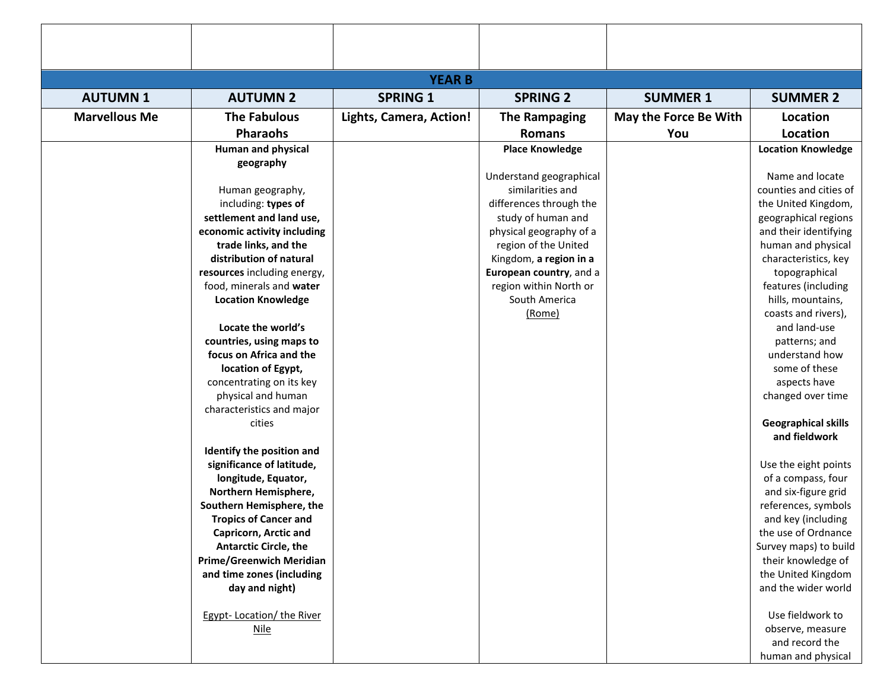| <b>YEAR B</b>        |                                                     |                         |                         |                       |                                 |  |
|----------------------|-----------------------------------------------------|-------------------------|-------------------------|-----------------------|---------------------------------|--|
| <b>AUTUMN1</b>       | <b>AUTUMN 2</b>                                     | <b>SPRING 1</b>         | <b>SPRING 2</b>         | <b>SUMMER 1</b>       | <b>SUMMER 2</b>                 |  |
| <b>Marvellous Me</b> | <b>The Fabulous</b>                                 | Lights, Camera, Action! | The Rampaging           | May the Force Be With | <b>Location</b>                 |  |
|                      | <b>Pharaohs</b>                                     |                         | <b>Romans</b>           | You                   | Location                        |  |
|                      | <b>Human and physical</b>                           |                         | <b>Place Knowledge</b>  |                       | <b>Location Knowledge</b>       |  |
|                      | geography                                           |                         |                         |                       |                                 |  |
|                      |                                                     |                         | Understand geographical |                       | Name and locate                 |  |
|                      | Human geography,                                    |                         | similarities and        |                       | counties and cities of          |  |
|                      | including: types of                                 |                         | differences through the |                       | the United Kingdom,             |  |
|                      | settlement and land use,                            |                         | study of human and      |                       | geographical regions            |  |
|                      | economic activity including                         |                         | physical geography of a |                       | and their identifying           |  |
|                      | trade links, and the                                |                         | region of the United    |                       | human and physical              |  |
|                      | distribution of natural                             |                         | Kingdom, a region in a  |                       | characteristics, key            |  |
|                      | resources including energy,                         |                         | European country, and a |                       | topographical                   |  |
|                      | food, minerals and water                            |                         | region within North or  |                       | features (including             |  |
|                      | <b>Location Knowledge</b>                           |                         | South America           |                       | hills, mountains,               |  |
|                      |                                                     |                         | (Rome)                  |                       | coasts and rivers),             |  |
|                      | Locate the world's                                  |                         |                         |                       | and land-use                    |  |
|                      | countries, using maps to<br>focus on Africa and the |                         |                         |                       | patterns; and                   |  |
|                      | location of Egypt,                                  |                         |                         |                       | understand how<br>some of these |  |
|                      | concentrating on its key                            |                         |                         |                       | aspects have                    |  |
|                      | physical and human                                  |                         |                         |                       | changed over time               |  |
|                      | characteristics and major                           |                         |                         |                       |                                 |  |
|                      | cities                                              |                         |                         |                       | <b>Geographical skills</b>      |  |
|                      |                                                     |                         |                         |                       | and fieldwork                   |  |
|                      | Identify the position and                           |                         |                         |                       |                                 |  |
|                      | significance of latitude,                           |                         |                         |                       | Use the eight points            |  |
|                      | longitude, Equator,                                 |                         |                         |                       | of a compass, four              |  |
|                      | Northern Hemisphere,                                |                         |                         |                       | and six-figure grid             |  |
|                      | Southern Hemisphere, the                            |                         |                         |                       | references, symbols             |  |
|                      | <b>Tropics of Cancer and</b>                        |                         |                         |                       | and key (including              |  |
|                      | Capricorn, Arctic and                               |                         |                         |                       | the use of Ordnance             |  |
|                      | <b>Antarctic Circle, the</b>                        |                         |                         |                       | Survey maps) to build           |  |
|                      | Prime/Greenwich Meridian                            |                         |                         |                       | their knowledge of              |  |
|                      | and time zones (including                           |                         |                         |                       | the United Kingdom              |  |
|                      | day and night)                                      |                         |                         |                       | and the wider world             |  |
|                      | Egypt-Location/ the River                           |                         |                         |                       | Use fieldwork to                |  |
|                      | Nile                                                |                         |                         |                       | observe, measure                |  |
|                      |                                                     |                         |                         |                       | and record the                  |  |
|                      |                                                     |                         |                         |                       | human and physical              |  |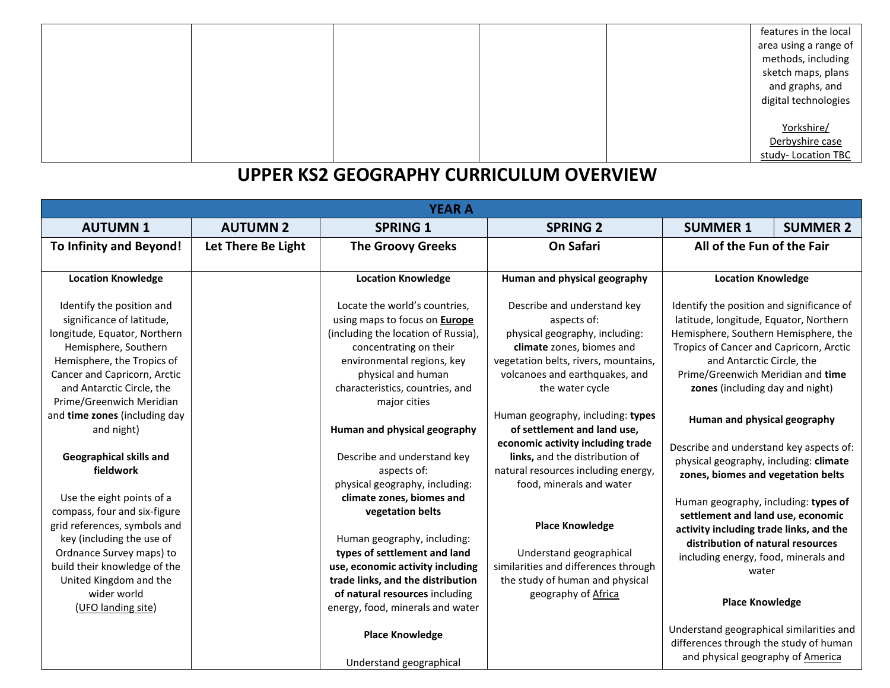|  |  | features in the local<br>area using a range of<br>methods, including<br>sketch maps, plans<br>and graphs, and<br>digital technologies |
|--|--|---------------------------------------------------------------------------------------------------------------------------------------|
|  |  | Yorkshire/<br>Derbyshire case<br>study-Location TBC                                                                                   |

## **UPPER KS2 GEOGRAPHY CURRICULUM OVERVIEW**

|                                                                                                                                                                                                                                                                                                                                          |                    | <b>YEAR A</b>                                                                                                                                                                                                                                                                                                                                                               |                                                                                                                                                                                                                                                                                                                                                                   |                                                                                                                                                                                                                                                                                                                                                                                                 |                 |
|------------------------------------------------------------------------------------------------------------------------------------------------------------------------------------------------------------------------------------------------------------------------------------------------------------------------------------------|--------------------|-----------------------------------------------------------------------------------------------------------------------------------------------------------------------------------------------------------------------------------------------------------------------------------------------------------------------------------------------------------------------------|-------------------------------------------------------------------------------------------------------------------------------------------------------------------------------------------------------------------------------------------------------------------------------------------------------------------------------------------------------------------|-------------------------------------------------------------------------------------------------------------------------------------------------------------------------------------------------------------------------------------------------------------------------------------------------------------------------------------------------------------------------------------------------|-----------------|
| <b>AUTUMN1</b>                                                                                                                                                                                                                                                                                                                           | <b>AUTUMN 2</b>    | <b>SPRING 1</b>                                                                                                                                                                                                                                                                                                                                                             | <b>SPRING 2</b>                                                                                                                                                                                                                                                                                                                                                   | <b>SUMMER 1</b>                                                                                                                                                                                                                                                                                                                                                                                 | <b>SUMMER 2</b> |
| To Infinity and Beyond!                                                                                                                                                                                                                                                                                                                  | Let There Be Light | <b>The Groovy Greeks</b>                                                                                                                                                                                                                                                                                                                                                    | <b>On Safari</b>                                                                                                                                                                                                                                                                                                                                                  | All of the Fun of the Fair                                                                                                                                                                                                                                                                                                                                                                      |                 |
|                                                                                                                                                                                                                                                                                                                                          |                    |                                                                                                                                                                                                                                                                                                                                                                             |                                                                                                                                                                                                                                                                                                                                                                   |                                                                                                                                                                                                                                                                                                                                                                                                 |                 |
| <b>Location Knowledge</b>                                                                                                                                                                                                                                                                                                                |                    | <b>Location Knowledge</b>                                                                                                                                                                                                                                                                                                                                                   | Human and physical geography                                                                                                                                                                                                                                                                                                                                      | <b>Location Knowledge</b>                                                                                                                                                                                                                                                                                                                                                                       |                 |
| Identify the position and<br>significance of latitude,<br>longitude, Equator, Northern<br>Hemisphere, Southern<br>Hemisphere, the Tropics of<br>Cancer and Capricorn, Arctic<br>and Antarctic Circle, the<br>Prime/Greenwich Meridian                                                                                                    |                    | Locate the world's countries,<br>using maps to focus on <b>Europe</b><br>(including the location of Russia),<br>concentrating on their<br>environmental regions, key<br>physical and human<br>characteristics, countries, and<br>major cities                                                                                                                               | Describe and understand key<br>aspects of:<br>physical geography, including:<br>climate zones, biomes and<br>vegetation belts, rivers, mountains,<br>volcanoes and earthquakes, and<br>the water cycle                                                                                                                                                            | Identify the position and significance of<br>latitude, longitude, Equator, Northern<br>Hemisphere, Southern Hemisphere, the<br>Tropics of Cancer and Capricorn, Arctic<br>and Antarctic Circle, the<br>Prime/Greenwich Meridian and time<br>zones (including day and night)                                                                                                                     |                 |
| and time zones (including day<br>and night)<br>Geographical skills and<br>fieldwork<br>Use the eight points of a<br>compass, four and six-figure<br>grid references, symbols and<br>key (including the use of<br>Ordnance Survey maps) to<br>build their knowledge of the<br>United Kingdom and the<br>wider world<br>(UFO landing site) |                    | Human and physical geography<br>Describe and understand key<br>aspects of:<br>physical geography, including:<br>climate zones, biomes and<br>vegetation belts<br>Human geography, including:<br>types of settlement and land<br>use, economic activity including<br>trade links, and the distribution<br>of natural resources including<br>energy, food, minerals and water | Human geography, including: types<br>of settlement and land use,<br>economic activity including trade<br>links, and the distribution of<br>natural resources including energy,<br>food, minerals and water<br><b>Place Knowledge</b><br>Understand geographical<br>similarities and differences through<br>the study of human and physical<br>geography of Africa | Human and physical geography<br>Describe and understand key aspects of:<br>physical geography, including: climate<br>zones, biomes and vegetation belts<br>Human geography, including: types of<br>settlement and land use, economic<br>activity including trade links, and the<br>distribution of natural resources<br>including energy, food, minerals and<br>water<br><b>Place Knowledge</b> |                 |
|                                                                                                                                                                                                                                                                                                                                          |                    | <b>Place Knowledge</b><br>Understand geographical                                                                                                                                                                                                                                                                                                                           |                                                                                                                                                                                                                                                                                                                                                                   | Understand geographical similarities and<br>differences through the study of human<br>and physical geography of America                                                                                                                                                                                                                                                                         |                 |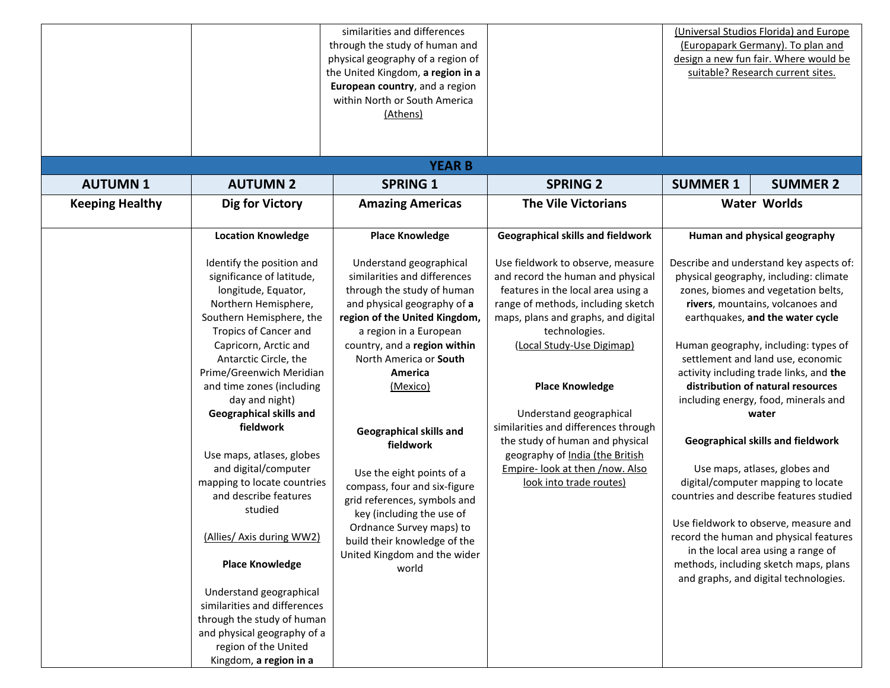|                        |                                                                                                                                                                                                                                                                                                                                                                                                                                                                                                                                                                                                                                                                                          | similarities and differences<br>through the study of human and<br>physical geography of a region of<br>the United Kingdom, a region in a<br>European country, and a region<br>within North or South America<br>(Athens)                                                                                                                                                                                                                                                                                                                        |                                                                                                                                                                                                                                                                                                                                                                                                                                                                          |                 | (Universal Studios Florida) and Europe<br>(Europapark Germany). To plan and<br>design a new fun fair. Where would be<br>suitable? Research current sites.                                                                                                                                                                                                                                                                                                                                                                                                                                                                                                                                                                                                                               |
|------------------------|------------------------------------------------------------------------------------------------------------------------------------------------------------------------------------------------------------------------------------------------------------------------------------------------------------------------------------------------------------------------------------------------------------------------------------------------------------------------------------------------------------------------------------------------------------------------------------------------------------------------------------------------------------------------------------------|------------------------------------------------------------------------------------------------------------------------------------------------------------------------------------------------------------------------------------------------------------------------------------------------------------------------------------------------------------------------------------------------------------------------------------------------------------------------------------------------------------------------------------------------|--------------------------------------------------------------------------------------------------------------------------------------------------------------------------------------------------------------------------------------------------------------------------------------------------------------------------------------------------------------------------------------------------------------------------------------------------------------------------|-----------------|-----------------------------------------------------------------------------------------------------------------------------------------------------------------------------------------------------------------------------------------------------------------------------------------------------------------------------------------------------------------------------------------------------------------------------------------------------------------------------------------------------------------------------------------------------------------------------------------------------------------------------------------------------------------------------------------------------------------------------------------------------------------------------------------|
|                        |                                                                                                                                                                                                                                                                                                                                                                                                                                                                                                                                                                                                                                                                                          | <b>YEAR B</b>                                                                                                                                                                                                                                                                                                                                                                                                                                                                                                                                  |                                                                                                                                                                                                                                                                                                                                                                                                                                                                          |                 |                                                                                                                                                                                                                                                                                                                                                                                                                                                                                                                                                                                                                                                                                                                                                                                         |
| <b>AUTUMN1</b>         | <b>AUTUMN 2</b>                                                                                                                                                                                                                                                                                                                                                                                                                                                                                                                                                                                                                                                                          | <b>SPRING 1</b>                                                                                                                                                                                                                                                                                                                                                                                                                                                                                                                                | <b>SPRING 2</b>                                                                                                                                                                                                                                                                                                                                                                                                                                                          | <b>SUMMER 1</b> | <b>SUMMER 2</b>                                                                                                                                                                                                                                                                                                                                                                                                                                                                                                                                                                                                                                                                                                                                                                         |
| <b>Keeping Healthy</b> | Dig for Victory                                                                                                                                                                                                                                                                                                                                                                                                                                                                                                                                                                                                                                                                          | <b>Amazing Americas</b>                                                                                                                                                                                                                                                                                                                                                                                                                                                                                                                        | <b>The Vile Victorians</b>                                                                                                                                                                                                                                                                                                                                                                                                                                               |                 | <b>Water Worlds</b>                                                                                                                                                                                                                                                                                                                                                                                                                                                                                                                                                                                                                                                                                                                                                                     |
|                        | <b>Location Knowledge</b>                                                                                                                                                                                                                                                                                                                                                                                                                                                                                                                                                                                                                                                                | <b>Place Knowledge</b>                                                                                                                                                                                                                                                                                                                                                                                                                                                                                                                         | <b>Geographical skills and fieldwork</b>                                                                                                                                                                                                                                                                                                                                                                                                                                 |                 | Human and physical geography                                                                                                                                                                                                                                                                                                                                                                                                                                                                                                                                                                                                                                                                                                                                                            |
|                        | Identify the position and<br>significance of latitude,<br>longitude, Equator,<br>Northern Hemisphere,<br>Southern Hemisphere, the<br>Tropics of Cancer and<br>Capricorn, Arctic and<br>Antarctic Circle, the<br>Prime/Greenwich Meridian<br>and time zones (including<br>day and night)<br>Geographical skills and<br>fieldwork<br>Use maps, atlases, globes<br>and digital/computer<br>mapping to locate countries<br>and describe features<br>studied<br>(Allies/ Axis during WW2)<br><b>Place Knowledge</b><br>Understand geographical<br>similarities and differences<br>through the study of human<br>and physical geography of a<br>region of the United<br>Kingdom, a region in a | Understand geographical<br>similarities and differences<br>through the study of human<br>and physical geography of a<br>region of the United Kingdom,<br>a region in a European<br>country, and a region within<br>North America or South<br>America<br>(Mexico)<br><b>Geographical skills and</b><br>fieldwork<br>Use the eight points of a<br>compass, four and six-figure<br>grid references, symbols and<br>key (including the use of<br>Ordnance Survey maps) to<br>build their knowledge of the<br>United Kingdom and the wider<br>world | Use fieldwork to observe, measure<br>and record the human and physical<br>features in the local area using a<br>range of methods, including sketch<br>maps, plans and graphs, and digital<br>technologies.<br>(Local Study-Use Digimap)<br><b>Place Knowledge</b><br>Understand geographical<br>similarities and differences through<br>the study of human and physical<br>geography of India (the British<br>Empire- look at then /now. Also<br>look into trade routes) |                 | Describe and understand key aspects of:<br>physical geography, including: climate<br>zones, biomes and vegetation belts,<br>rivers, mountains, volcanoes and<br>earthquakes, and the water cycle<br>Human geography, including: types of<br>settlement and land use, economic<br>activity including trade links, and the<br>distribution of natural resources<br>including energy, food, minerals and<br>water<br><b>Geographical skills and fieldwork</b><br>Use maps, atlases, globes and<br>digital/computer mapping to locate<br>countries and describe features studied<br>Use fieldwork to observe, measure and<br>record the human and physical features<br>in the local area using a range of<br>methods, including sketch maps, plans<br>and graphs, and digital technologies. |